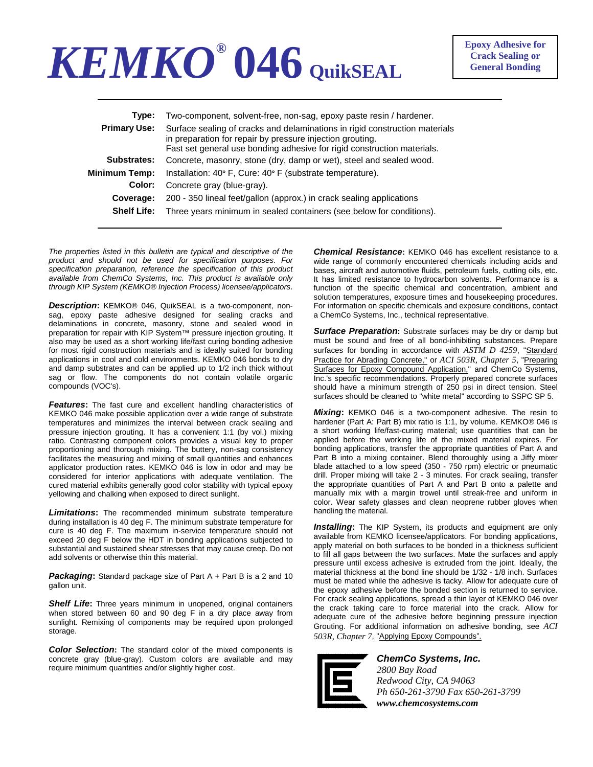## *KEMKO®* **046 QuikSEAL**

| Type:               | Two-component, solvent-free, non-sag, epoxy paste resin / hardener.                                                                                                                                                 |  |  |  |
|---------------------|---------------------------------------------------------------------------------------------------------------------------------------------------------------------------------------------------------------------|--|--|--|
| <b>Primary Use:</b> | Surface sealing of cracks and delaminations in rigid construction materials<br>in preparation for repair by pressure injection grouting.<br>Fast set general use bonding adhesive for rigid construction materials. |  |  |  |
| Substrates:         | Concrete, masonry, stone (dry, damp or wet), steel and sealed wood.                                                                                                                                                 |  |  |  |
| Minimum Temp:       | Installation: 40° F, Cure: 40° F (substrate temperature).                                                                                                                                                           |  |  |  |
| Color:              | Concrete gray (blue-gray).                                                                                                                                                                                          |  |  |  |
| Coverage:           | 200 - 350 lineal feet/gallon (approx.) in crack sealing applications                                                                                                                                                |  |  |  |
| <b>Shelf Life:</b>  | Three years minimum in sealed containers (see below for conditions).                                                                                                                                                |  |  |  |
|                     |                                                                                                                                                                                                                     |  |  |  |

*The properties listed in this bulletin are typical and descriptive of the product and should not be used for specification purposes. For specification preparation, reference the specification of this product available from ChemCo Systems, Inc. This product is available only through KIP System (KEMKO® Injection Process) licensee/applicators*.

*Description***:** KEMKO® 046, QuikSEAL is a two-component, nonsag, epoxy paste adhesive designed for sealing cracks and delaminations in concrete, masonry, stone and sealed wood in preparation for repair with KIP System™ pressure injection grouting. It also may be used as a short working life/fast curing bonding adhesive for most rigid construction materials and is ideally suited for bonding applications in cool and cold environments. KEMKO 046 bonds to dry and damp substrates and can be applied up to 1/2 inch thick without sag or flow. The components do not contain volatile organic compounds (VOC's).

*Features***:** The fast cure and excellent handling characteristics of KEMKO 046 make possible application over a wide range of substrate temperatures and minimizes the interval between crack sealing and pressure injection grouting. It has a convenient 1:1 (by vol.) mixing ratio. Contrasting component colors provides a visual key to proper proportioning and thorough mixing. The buttery, non-sag consistency facilitates the measuring and mixing of small quantities and enhances applicator production rates. KEMKO 046 is low in odor and may be considered for interior applications with adequate ventilation. The cured material exhibits generally good color stability with typical epoxy yellowing and chalking when exposed to direct sunlight.

*Limitations***:** The recommended minimum substrate temperature during installation is 40 deg F. The minimum substrate temperature for cure is 40 deg F. The maximum in-service temperature should not exceed 20 deg F below the HDT in bonding applications subjected to substantial and sustained shear stresses that may cause creep. Do not add solvents or otherwise thin this material.

*Packaging***:** Standard package size of Part A + Part B is a 2 and 10 gallon unit.

*Shelf Life***:** Three years minimum in unopened, original containers when stored between 60 and 90 deg F in a dry place away from sunlight. Remixing of components may be required upon prolonged storage.

*Color Selection***:** The standard color of the mixed components is concrete gray (blue-gray). Custom colors are available and may require minimum quantities and/or slightly higher cost.

*Chemical Resistance***:** KEMKO 046 has excellent resistance to a wide range of commonly encountered chemicals including acids and bases, aircraft and automotive fluids, petroleum fuels, cutting oils, etc. It has limited resistance to hydrocarbon solvents. Performance is a function of the specific chemical and concentration, ambient and solution temperatures, exposure times and housekeeping procedures. For information on specific chemicals and exposure conditions, contact a ChemCo Systems, Inc., technical representative.

*Surface Preparation***:** Substrate surfaces may be dry or damp but must be sound and free of all bond-inhibiting substances. Prepare surfaces for bonding in accordance with *ASTM D 4259*, "Standard Practice for Abrading Concrete," or *ACI 503R, Chapter 5*, "Preparing Surfaces for Epoxy Compound Application," and ChemCo Systems, Inc.'s specific recommendations. Properly prepared concrete surfaces should have a minimum strength of 250 psi in direct tension. Steel surfaces should be cleaned to "white metal" according to SSPC SP 5.

*Mixing***:** KEMKO 046 is a two-component adhesive. The resin to hardener (Part A: Part B) mix ratio is 1:1, by volume. KEMKO® 046 is a short working life/fast-curing material; use quantities that can be applied before the working life of the mixed material expires. For bonding applications, transfer the appropriate quantities of Part A and Part B into a mixing container. Blend thoroughly using a Jiffy mixer blade attached to a low speed (350 - 750 rpm) electric or pneumatic drill. Proper mixing will take 2 - 3 minutes. For crack sealing, transfer the appropriate quantities of Part A and Part B onto a palette and manually mix with a margin trowel until streak-free and uniform in color. Wear safety glasses and clean neoprene rubber gloves when handling the material.

*Installing***:** The KIP System, its products and equipment are only available from KEMKO licensee/applicators. For bonding applications, apply material on both surfaces to be bonded in a thickness sufficient to fill all gaps between the two surfaces. Mate the surfaces and apply pressure until excess adhesive is extruded from the joint. Ideally, the material thickness at the bond line should be 1/32 - 1/8 inch. Surfaces must be mated while the adhesive is tacky. Allow for adequate cure of the epoxy adhesive before the bonded section is returned to service. For crack sealing applications, spread a thin layer of KEMKO 046 over the crack taking care to force material into the crack. Allow for adequate cure of the adhesive before beginning pressure injection Grouting. For additional information on adhesive bonding, see *ACI 503R, Chapter 7*, "Applying Epoxy Compounds".



*ChemCo Systems, Inc. 2800 Bay Road Redwood City, CA 94063 Ph 650-261-3790 Fax 650-261-3799 www.chemcosystems.com*